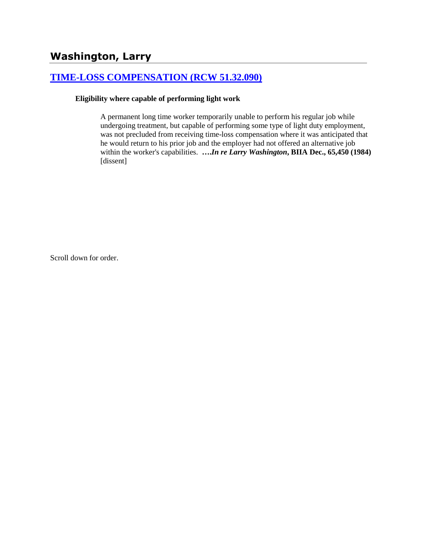# **[TIME-LOSS COMPENSATION \(RCW 51.32.090\)](http://www.biia.wa.gov/SDSubjectIndex.html#TIME_LOSS_COMPENSATION)**

#### **Eligibility where capable of performing light work**

A permanent long time worker temporarily unable to perform his regular job while undergoing treatment, but capable of performing some type of light duty employment, was not precluded from receiving time-loss compensation where it was anticipated that he would return to his prior job and the employer had not offered an alternative job within the worker's capabilities. **….***In re Larry Washington***, BIIA Dec., 65,450 (1984)**  [dissent]

Scroll down for order.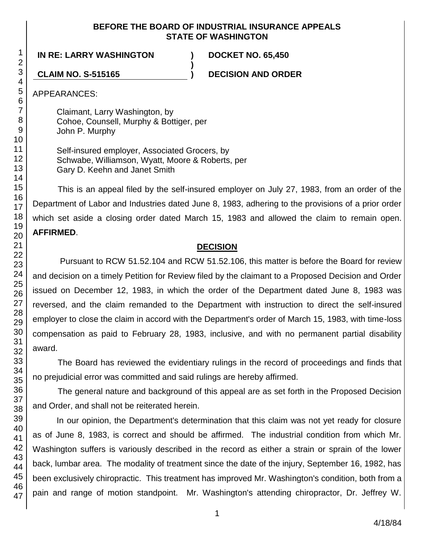## **BEFORE THE BOARD OF INDUSTRIAL INSURANCE APPEALS STATE OF WASHINGTON**

**)**

**IN RE: LARRY WASHINGTON ) DOCKET NO. 65,450**

**CLAIM NO. S-515165 ) DECISION AND ORDER**

APPEARANCES:

Claimant, Larry Washington, by Cohoe, Counsell, Murphy & Bottiger, per John P. Murphy

Self-insured employer, Associated Grocers, by Schwabe, Williamson, Wyatt, Moore & Roberts, per Gary D. Keehn and Janet Smith

This is an appeal filed by the self-insured employer on July 27, 1983, from an order of the Department of Labor and Industries dated June 8, 1983, adhering to the provisions of a prior order which set aside a closing order dated March 15, 1983 and allowed the claim to remain open. **AFFIRMED**.

# **DECISION**

Pursuant to RCW 51.52.104 and RCW 51.52.106, this matter is before the Board for review and decision on a timely Petition for Review filed by the claimant to a Proposed Decision and Order issued on December 12, 1983, in which the order of the Department dated June 8, 1983 was reversed, and the claim remanded to the Department with instruction to direct the self-insured employer to close the claim in accord with the Department's order of March 15, 1983, with time-loss compensation as paid to February 28, 1983, inclusive, and with no permanent partial disability award.

The Board has reviewed the evidentiary rulings in the record of proceedings and finds that no prejudicial error was committed and said rulings are hereby affirmed.

The general nature and background of this appeal are as set forth in the Proposed Decision and Order, and shall not be reiterated herein.

In our opinion, the Department's determination that this claim was not yet ready for closure as of June 8, 1983, is correct and should be affirmed. The industrial condition from which Mr. Washington suffers is variously described in the record as either a strain or sprain of the lower back, lumbar area. The modality of treatment since the date of the injury, September 16, 1982, has been exclusively chiropractic. This treatment has improved Mr. Washington's condition, both from a pain and range of motion standpoint. Mr. Washington's attending chiropractor, Dr. Jeffrey W.

1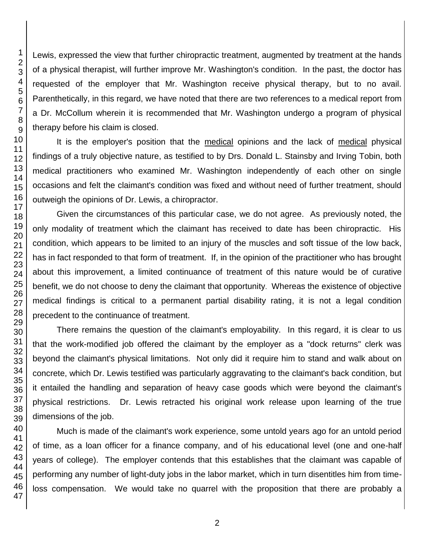Lewis, expressed the view that further chiropractic treatment, augmented by treatment at the hands of a physical therapist, will further improve Mr. Washington's condition. In the past, the doctor has requested of the employer that Mr. Washington receive physical therapy, but to no avail. Parenthetically, in this regard, we have noted that there are two references to a medical report from a Dr. McCollum wherein it is recommended that Mr. Washington undergo a program of physical therapy before his claim is closed.

It is the employer's position that the medical opinions and the lack of medical physical findings of a truly objective nature, as testified to by Drs. Donald L. Stainsby and Irving Tobin, both medical practitioners who examined Mr. Washington independently of each other on single occasions and felt the claimant's condition was fixed and without need of further treatment, should outweigh the opinions of Dr. Lewis, a chiropractor.

Given the circumstances of this particular case, we do not agree. As previously noted, the only modality of treatment which the claimant has received to date has been chiropractic. His condition, which appears to be limited to an injury of the muscles and soft tissue of the low back, has in fact responded to that form of treatment. If, in the opinion of the practitioner who has brought about this improvement, a limited continuance of treatment of this nature would be of curative benefit, we do not choose to deny the claimant that opportunity. Whereas the existence of objective medical findings is critical to a permanent partial disability rating, it is not a legal condition precedent to the continuance of treatment.

There remains the question of the claimant's employability. In this regard, it is clear to us that the work-modified job offered the claimant by the employer as a "dock returns" clerk was beyond the claimant's physical limitations. Not only did it require him to stand and walk about on concrete, which Dr. Lewis testified was particularly aggravating to the claimant's back condition, but it entailed the handling and separation of heavy case goods which were beyond the claimant's physical restrictions. Dr. Lewis retracted his original work release upon learning of the true dimensions of the job.

Much is made of the claimant's work experience, some untold years ago for an untold period of time, as a loan officer for a finance company, and of his educational level (one and one-half years of college). The employer contends that this establishes that the claimant was capable of performing any number of light-duty jobs in the labor market, which in turn disentitles him from timeloss compensation. We would take no quarrel with the proposition that there are probably a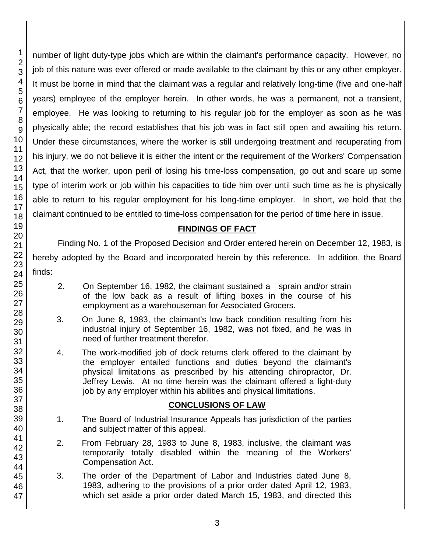number of light duty-type jobs which are within the claimant's performance capacity. However, no job of this nature was ever offered or made available to the claimant by this or any other employer. It must be borne in mind that the claimant was a regular and relatively long-time (five and one-half years) employee of the employer herein. In other words, he was a permanent, not a transient, employee. He was looking to returning to his regular job for the employer as soon as he was physically able; the record establishes that his job was in fact still open and awaiting his return. Under these circumstances, where the worker is still undergoing treatment and recuperating from his injury, we do not believe it is either the intent or the requirement of the Workers' Compensation Act, that the worker, upon peril of losing his time-loss compensation, go out and scare up some type of interim work or job within his capacities to tide him over until such time as he is physically able to return to his regular employment for his long-time employer. In short, we hold that the claimant continued to be entitled to time-loss compensation for the period of time here in issue.

## **FINDINGS OF FACT**

Finding No. 1 of the Proposed Decision and Order entered herein on December 12, 1983, is hereby adopted by the Board and incorporated herein by this reference. In addition, the Board finds:

- 2. On September 16, 1982, the claimant sustained a sprain and/or strain of the low back as a result of lifting boxes in the course of his employment as a warehouseman for Associated Grocers.
- 3. On June 8, 1983, the claimant's low back condition resulting from his industrial injury of September 16, 1982, was not fixed, and he was in need of further treatment therefor.
- 4. The work-modified job of dock returns clerk offered to the claimant by the employer entailed functions and duties beyond the claimant's physical limitations as prescribed by his attending chiropractor, Dr. Jeffrey Lewis. At no time herein was the claimant offered a light-duty job by any employer within his abilities and physical limitations.

## **CONCLUSIONS OF LAW**

- 1. The Board of Industrial Insurance Appeals has jurisdiction of the parties and subject matter of this appeal.
- 2. From February 28, 1983 to June 8, 1983, inclusive, the claimant was temporarily totally disabled within the meaning of the Workers' Compensation Act.
- 3. The order of the Department of Labor and Industries dated June 8, 1983, adhering to the provisions of a prior order dated April 12, 1983, which set aside a prior order dated March 15, 1983, and directed this